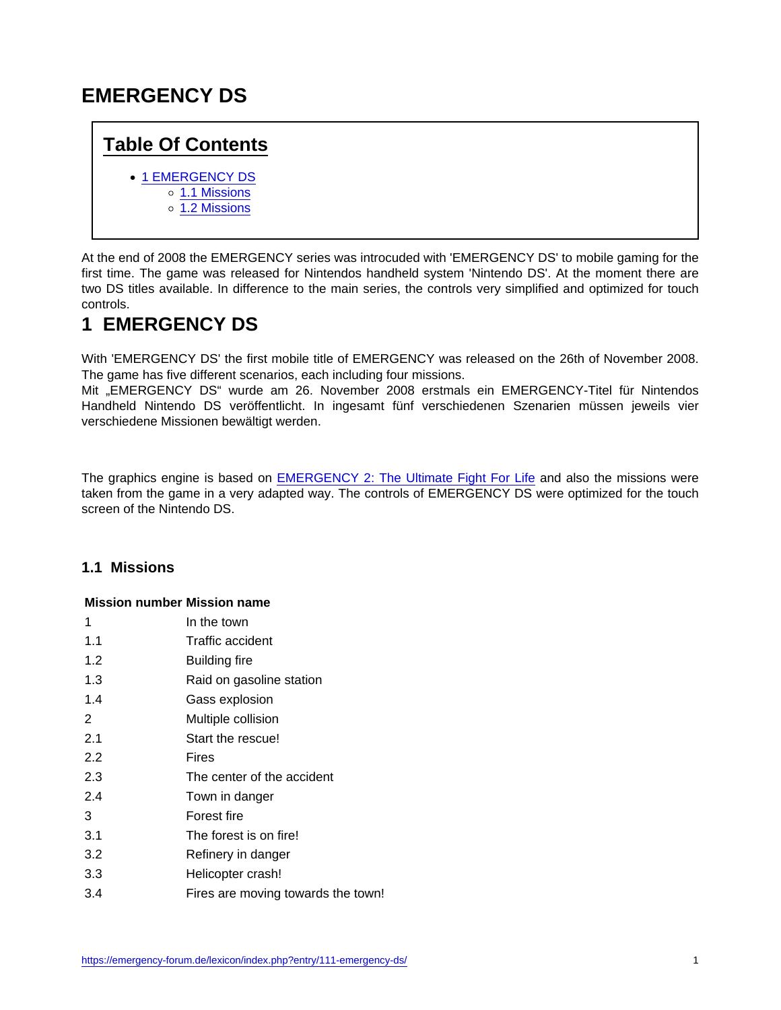# EMERGENCY DS

### Table Of Contents

- **[1 EMERGENCY DS](https://emergency-forum.de/lexicon/index.php?entry/111-emergency-ds/#1-EMERGENCY-DS)** 
	- o [1.1 Missions](https://emergency-forum.de/lexicon/index.php?entry/111-emergency-ds/#1.1-Missions)
		- o [1.2 Missions](https://emergency-forum.de/lexicon/index.php?entry/111-emergency-ds/#1.2-Missions)

At the end of 2008 the EMERGENCY series was introcuded with 'EMERGENCY DS' to mobile gaming for the first time. The game was released for Nintendos handheld system 'Nintendo DS'. At the moment there are two DS titles available. In difference to the main series, the controls very simplified and optimized for touch controls.

## 1 EMERGENCY DS

With 'EMERGENCY DS' the first mobile title of EMERGENCY was released on the 26th of November 2008. The game has five different scenarios, each including four missions.

Mit "EMERGENCY DS" wurde am 26. November 2008 erstmals ein EMERGENCY-Titel für Nintendos Handheld Nintendo DS veröffentlicht. In ingesamt fünf verschiedenen Szenarien müssen jeweils vier verschiedene Missionen bewältigt werden.

The graphics engine is based on [EMERGENCY 2: The Ultimate Fight For Life](https://emergency-forum.de/lexicon/index.php?entry/109-emergency-2-the-ultimate-fight-for-life/) and also the missions were taken from the game in a very adapted way. The controls of EMERGENCY DS were optimized for the touch screen of the Nintendo DS.

### 1.1 Missions

| Mission number Mission name |                                    |
|-----------------------------|------------------------------------|
| 1                           | In the town                        |
| 1.1                         | Traffic accident                   |
| 1.2                         | Building fire                      |
| 1.3                         | Raid on gasoline station           |
| 1.4                         | Gass explosion                     |
| 2                           | Multiple collision                 |
| 2.1                         | Start the rescue!                  |
| 2.2                         | Fires                              |
| 2.3                         | The center of the accident         |
| 2.4                         | Town in danger                     |
| 3                           | Forest fire                        |
| 3.1                         | The forest is on fire!             |
| 3.2                         | Refinery in danger                 |
| 3.3                         | Helicopter crash!                  |
| 3.4                         | Fires are moving towards the town! |
|                             |                                    |